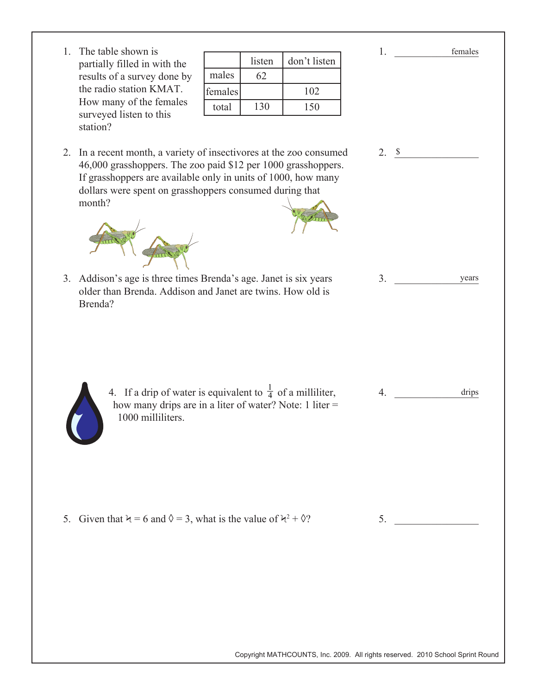1. The table shown is partially filled in with the results of a survey done by the radio station KMAT. How many of the females surveyed listen to this station?

|         | listen | don't listen |
|---------|--------|--------------|
| males   | 62     |              |
| females |        | 102          |
| total   | 130    | 150          |

2. In a recent month, a variety of insectivores at the zoo consumed 46,000 grasshoppers. The zoo paid \$12 per 1000 grasshoppers. If grasshoppers are available only in units of 1000, how many dollars were spent on grasshoppers consumed during that month?



3. Addison's age is three times Brenda's age. Janet is six years older than Brenda. Addison and Janet are twins. How old is Brenda?

> 4. If a drip of water is equivalent to  $\frac{1}{4}$  of a milliliter, how many drips are in a liter of water? Note: 1 liter = 1000 milliliters.

5. Given that  $\lambda = 6$  and  $\lambda = 3$ , what is the value of  $\lambda^2 + \lambda^2$ 

| $\mathcal{P}$ | 5. |
|---------------|----|
|               |    |
|               |    |
|               |    |

4.

drips

1.  $\blacksquare$ 

females

 $3.$ years

2.  $\frac{\$}{ }$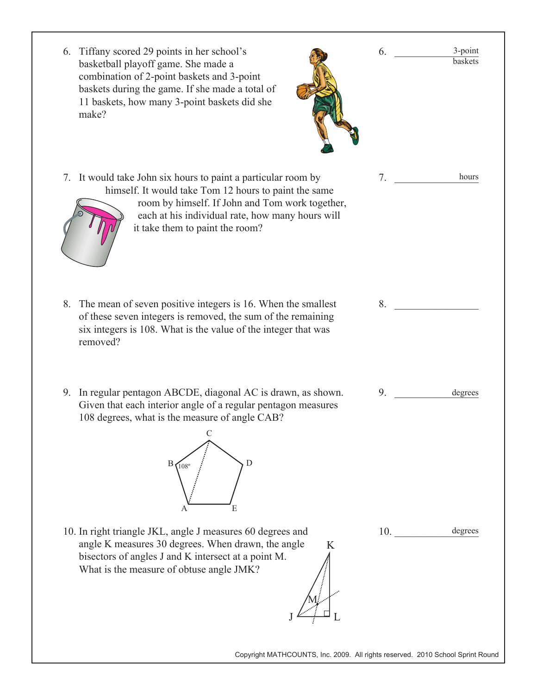| 6. Tiffany scored 29 points in her school's<br>basketball playoff game. She made a<br>combination of 2-point baskets and 3-point<br>baskets during the game. If she made a total of<br>11 baskets, how many 3-point baskets did she<br>make?                     | 3-point<br>6.<br>baskets |
|------------------------------------------------------------------------------------------------------------------------------------------------------------------------------------------------------------------------------------------------------------------|--------------------------|
| 7. It would take John six hours to paint a particular room by<br>himself. It would take Tom 12 hours to paint the same<br>room by himself. If John and Tom work together,<br>each at his individual rate, how many hours will<br>it take them to paint the room? | 7.<br>hours              |
| 8. The mean of seven positive integers is 16. When the smallest<br>of these seven integers is removed, the sum of the remaining<br>six integers is 108. What is the value of the integer that was<br>removed?                                                    | 8.                       |
| 9. In regular pentagon ABCDE, diagonal AC is drawn, as shown.<br>Given that each interior angle of a regular pentagon measures<br>108 degrees, what is the measure of angle CAB?<br>D<br>$108^\circ$<br>E                                                        | 9.<br>degrees            |
| 10. In right triangle JKL, angle J measures 60 degrees and<br>angle K measures 30 degrees. When drawn, the angle<br>K<br>bisectors of angles J and K intersect at a point M.<br>What is the measure of obtuse angle JMK?                                         | degrees<br>10.           |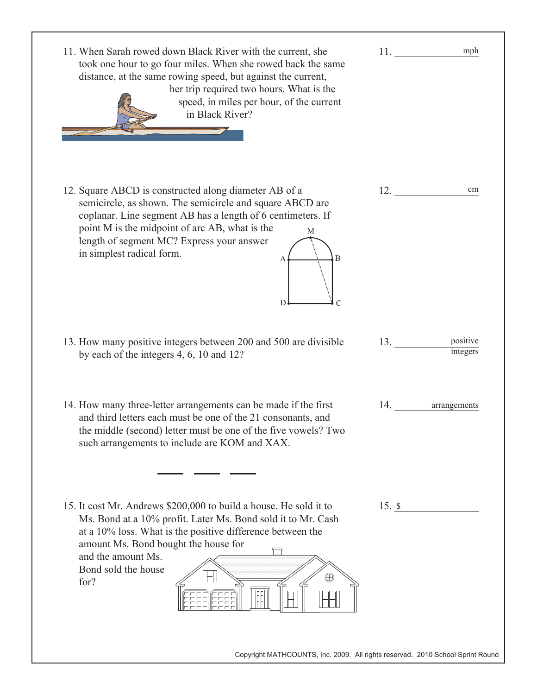| 11. When Sarah rowed down Black River with the current, she<br>took one hour to go four miles. When she rowed back the same<br>distance, at the same rowing speed, but against the current,<br>her trip required two hours. What is the<br>speed, in miles per hour, of the current<br>in Black River?                      | mph                         |
|-----------------------------------------------------------------------------------------------------------------------------------------------------------------------------------------------------------------------------------------------------------------------------------------------------------------------------|-----------------------------|
| 12. Square ABCD is constructed along diameter AB of a<br>semicircle, as shown. The semicircle and square ABCD are<br>coplanar. Line segment AB has a length of 6 centimeters. If<br>point M is the midpoint of arc AB, what is the<br>M<br>length of segment MC? Express your answer<br>in simplest radical form.<br>D<br>C | 12.<br>cm                   |
| 13. How many positive integers between 200 and 500 are divisible<br>by each of the integers 4, 6, 10 and 12?                                                                                                                                                                                                                | positive<br>13.<br>integers |
| 14. How many three-letter arrangements can be made if the first<br>and third letters each must be one of the 21 consonants, and<br>the middle (second) letter must be one of the five vowels? Two<br>such arrangements to include are KOM and XAX.                                                                          | 14.<br>arrangements         |
| 15. It cost Mr. Andrews \$200,000 to build a house. He sold it to<br>Ms. Bond at a 10% profit. Later Ms. Bond sold it to Mr. Cash<br>at a 10% loss. What is the positive difference between the<br>amount Ms. Bond bought the house for<br>and the amount Ms.<br>Bond sold the house<br>$^\circledR$<br>for?                | $15.$ \$                    |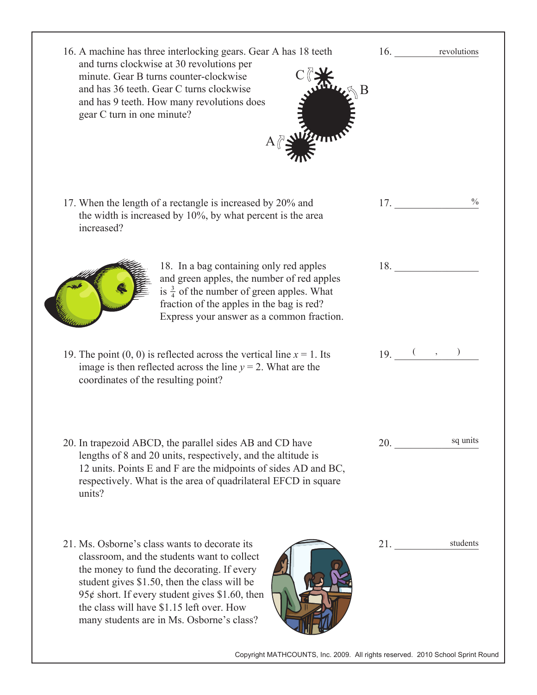| 16. A machine has three interlocking gears. Gear A has 18 teeth<br>and turns clockwise at 30 revolutions per<br>minute. Gear B turns counter-clockwise<br>and has 36 teeth. Gear C turns clockwise<br>and has 9 teeth. How many revolutions does<br>gear C turn in one minute?                                                         | 16.<br>revolutions                                                                                                                                                                                                                              |
|----------------------------------------------------------------------------------------------------------------------------------------------------------------------------------------------------------------------------------------------------------------------------------------------------------------------------------------|-------------------------------------------------------------------------------------------------------------------------------------------------------------------------------------------------------------------------------------------------|
| 17. When the length of a rectangle is increased by 20% and<br>the width is increased by $10\%$ , by what percent is the area<br>increased?                                                                                                                                                                                             | 17.                                                                                                                                                                                                                                             |
| 18. In a bag containing only red apples<br>and green apples, the number of red apples<br>is $\frac{3}{4}$ of the number of green apples. What<br>fraction of the apples in the bag is red?<br>Express your answer as a common fraction.                                                                                                | 18.                                                                                                                                                                                                                                             |
| 19. The point $(0, 0)$ is reflected across the vertical line $x = 1$ . Its<br>image is then reflected across the line $y = 2$ . What are the<br>coordinates of the resulting point?                                                                                                                                                    | $19.$ (, )                                                                                                                                                                                                                                      |
| 20. In trapezoid ABCD, the parallel sides AB and CD have<br>lengths of 8 and 20 units, respectively, and the altitude is<br>12 units. Points E and F are the midpoints of sides AD and BC,<br>respectively. What is the area of quadrilateral EFCD in square<br>units?                                                                 | sq units<br><b>20.</b> The contract of the contract of the contract of the contract of the contract of the contract of the contract of the contract of the contract of the contract of the contract of the contract of the contract of the cont |
| 21. Ms. Osborne's class wants to decorate its<br>classroom, and the students want to collect<br>the money to fund the decorating. If every<br>student gives \$1.50, then the class will be<br>95¢ short. If every student gives \$1.60, then<br>the class will have \$1.15 left over. How<br>many students are in Ms. Osborne's class? | students<br>21.                                                                                                                                                                                                                                 |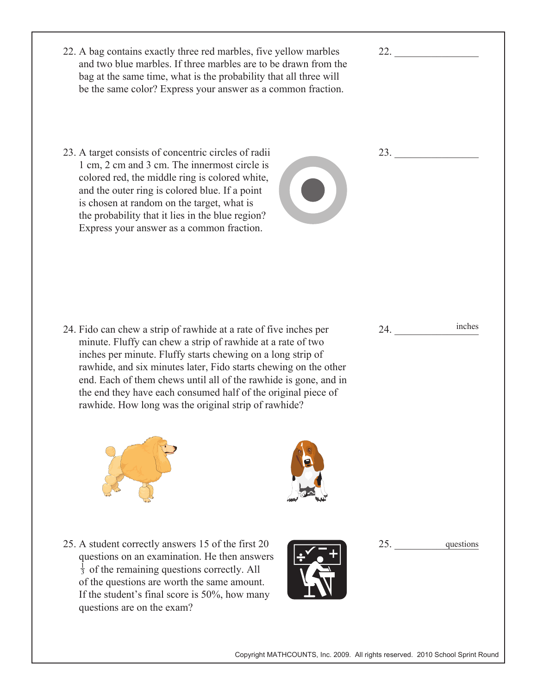